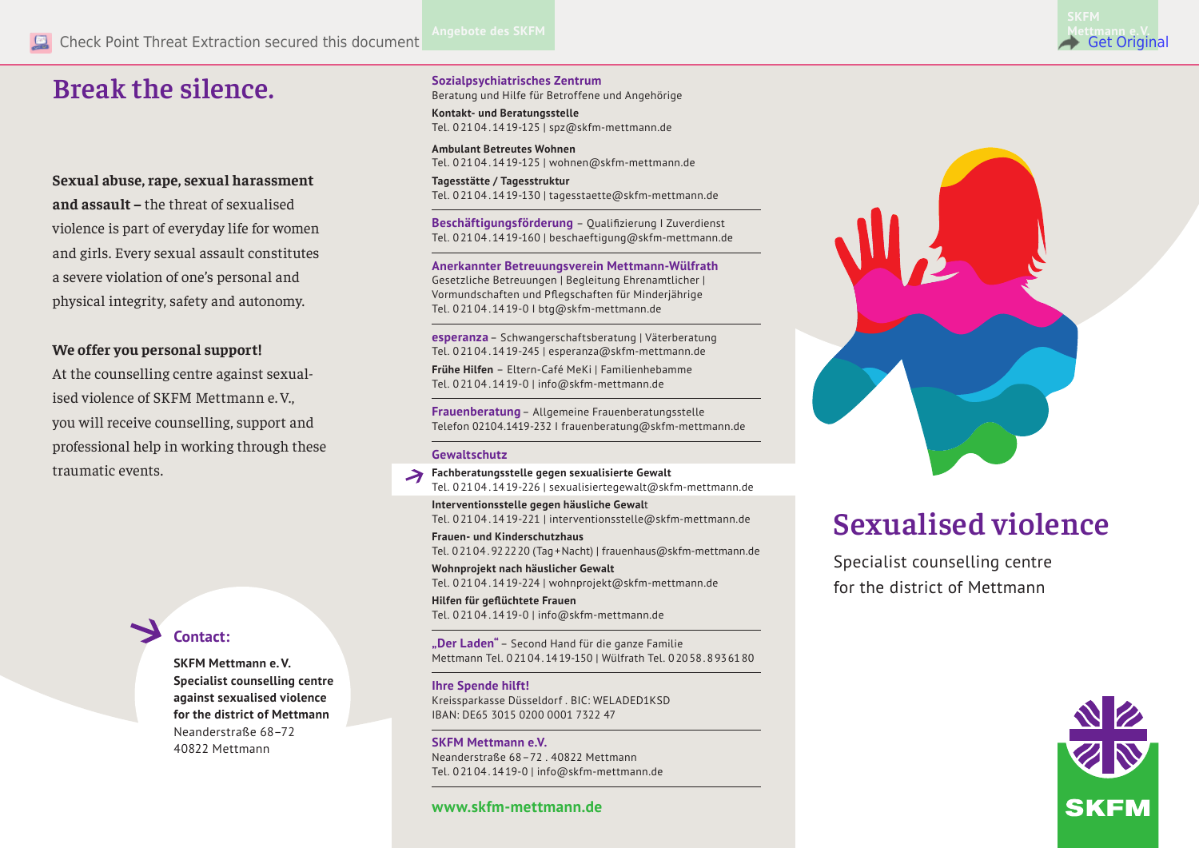# **Break the silence.**

**Sexual abuse, rape, sexual harassment and assault –** the threat of sexualised violence is part of everyday life for women and girls. Every sexual assault constitutes a severe violation of one's personal and physical integrity, safety and autonomy.

# **We offer you personal support!**

At the counselling centre against sexualised violence of SKFM Mettmann e. V., you will receive counselling, support and professional help in working through these traumatic events.

# **Contact:**

**SKFM Mettmann e.V. Specialist counselling centre against sexualised violence for the district of Mettmann** Neanderstraße 68–72 40822 Mettmann

### **Sozialpsychiatrisches Zentrum**

Beratung und Hilfe für Betroffene und Angehörige

**Kontakt- und Beratungsstelle** Tel. 0 21 04 . 14 19-125 | spz@skfm-mettmann.de

**Ambulant Betreutes Wohnen** Tel. 0 21 04 . 14 19-125 | wohnen@skfm-mettmann.de

**Tagesstätte / Tagesstruktur** Tel. 0 21 04 . 14 19-130 | tagesstaette@skfm-mettmann.de

**Beschäftigungsförderung** – Qualifizierung I Zuverdienst Tel. 0 21 04 . 14 19-160 | beschaeftigung@skfm-mettmann.de

**Anerkannter Betreuungsverein Mettmann-Wülfrath** Gesetzliche Betreuungen | Begleitung Ehrenamtlicher | Vormundschaften und Pflegschaften für Minderjährige Tel. 0 21 04 . 14 19-0 I btg@skfm-mettmann.de

**esperanza**– Schwangerschaftsberatung | Väterberatung Tel. 0 21 04 . 14 19-245 | esperanza@skfm-mettmann.de

**Frühe Hilfen** – Eltern-Café MeKi | Familienhebamme Tel. 0 21 04 . 14 19-0 | info@skfm-mettmann.de

**Frauenberatung**– Allgemeine Frauenberatungsstelle Telefon 02104.1419-232 I frauenberatung@skfm-mettmann.de

#### **Gewaltschutz**

**Fachberatungsstelle gegen sexualisierte Gewalt** Tel. 0 21 04 . 14 19-226 | sexualisiertegewalt@skfm-mettmann.de

**Interventionsstelle gegen häusliche Gewal**t Tel. 0 21 04 . 14 19-221 | interventionsstelle@skfm-mettmann.de

**Frauen- und Kinderschutzhaus** Tel. 02104.922220 (Tag+Nacht) | frauenhaus@skfm-mettmann.de

**Wohnprojekt nach häuslicher Gewalt** Tel. 0 21 04 . 14 19-224 | wohnprojekt@skfm-mettmann.de

**Hilfen für geflüchtete Frauen** Tel. 0 21 04 . 14 19-0 | info@skfm-mettmann.de

**"Der Laden"**– Second Hand für die ganze Familie Mettmann Tel. 02104.1419-150 | Wülfrath Tel. 02058.8936180

#### **Ihre Spende hilft!**

Kreissparkasse Düsseldorf . BIC: WELADED1KSD IBAN: DE65 3015 0200 0001 7322 47

**SKFM Mettmann e.V.** Neanderstraße 68–72 40822 Mettmann Tel. 02104.1419-0 | info@skfm-mettmann.de

# **Sexualised violence**

Specialist counselling centre for the district of Mettmann